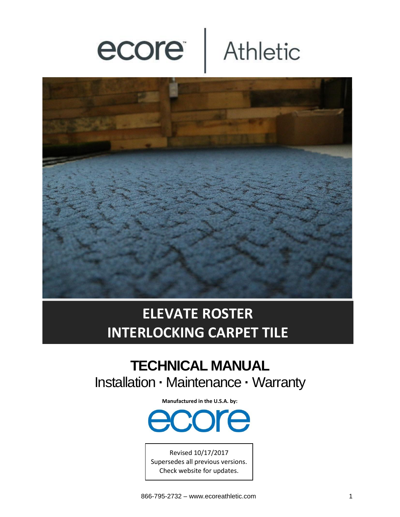





## **ELEVATE ROSTER INTERLOCKING CARPET TILE**

# **TECHNICAL MANUAL**

Installation **·** Maintenance **·** Warranty

**Manufactured in the U.S.A. by:** 



Revised 10/17/2017 Supersedes all previous versions. Check website for updates.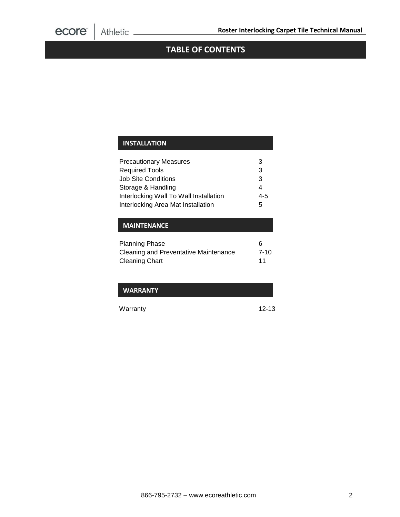## **TABLE OF CONTENTS**

### **INSTALLATION**

| <b>Precautionary Measures</b>          | 3   |
|----------------------------------------|-----|
| <b>Required Tools</b>                  | 3   |
| <b>Job Site Conditions</b>             | 3   |
| Storage & Handling                     |     |
| Interlocking Wall To Wall Installation | 4-5 |
| Interlocking Area Mat Installation     | 5   |

#### **MAINTENANCE**

| Planning Phase                        | 6        |
|---------------------------------------|----------|
| Cleaning and Preventative Maintenance | $7 - 10$ |
| Cleaning Chart                        | 11       |

#### **WARRANTY**

Warranty 12-13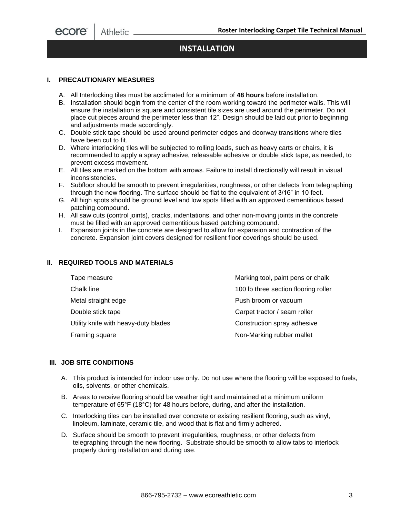#### **INSTALLATION**

#### **I. PRECAUTIONARY MEASURES**

- A. All Interlocking tiles must be acclimated for a minimum of **48 hours** before installation.
- B. Installation should begin from the center of the room working toward the perimeter walls. This will ensure the installation is square and consistent tile sizes are used around the perimeter. Do not place cut pieces around the perimeter less than 12". Design should be laid out prior to beginning and adjustments made accordingly.
- C. Double stick tape should be used around perimeter edges and doorway transitions where tiles have been cut to fit.
- D. Where interlocking tiles will be subjected to rolling loads, such as heavy carts or chairs, it is recommended to apply a spray adhesive, releasable adhesive or double stick tape, as needed, to prevent excess movement.
- E. All tiles are marked on the bottom with arrows. Failure to install directionally will result in visual inconsistencies.
- F. Subfloor should be smooth to prevent irregularities, roughness, or other defects from telegraphing through the new flooring. The surface should be flat to the equivalent of 3/16" in 10 feet.
- G. All high spots should be ground level and low spots filled with an approved cementitious based patching compound.
- H. All saw cuts (control joints), cracks, indentations, and other non-moving joints in the concrete must be filled with an approved cementitious based patching compound.
- I. Expansion joints in the concrete are designed to allow for expansion and contraction of the concrete. Expansion joint covers designed for resilient floor coverings should be used.

#### **II. REQUIRED TOOLS AND MATERIALS**

| Tape measure                         | Marking tool, paint pens or chalk    |
|--------------------------------------|--------------------------------------|
| Chalk line                           | 100 lb three section flooring roller |
| Metal straight edge                  | Push broom or vacuum                 |
| Double stick tape                    | Carpet tractor / seam roller         |
| Utility knife with heavy-duty blades | Construction spray adhesive          |
| Framing square                       | Non-Marking rubber mallet            |
|                                      |                                      |

#### **III. JOB SITE CONDITIONS**

- A. This product is intended for indoor use only. Do not use where the flooring will be exposed to fuels, oils, solvents, or other chemicals.
- B. Areas to receive flooring should be weather tight and maintained at a minimum uniform temperature of 65°F (18°C) for 48 hours before, during, and after the installation.
- C. Interlocking tiles can be installed over concrete or existing resilient flooring, such as vinyl, linoleum, laminate, ceramic tile, and wood that is flat and firmly adhered.
- D. Surface should be smooth to prevent irregularities, roughness, or other defects from telegraphing through the new flooring. Substrate should be smooth to allow tabs to interlock properly during installation and during use.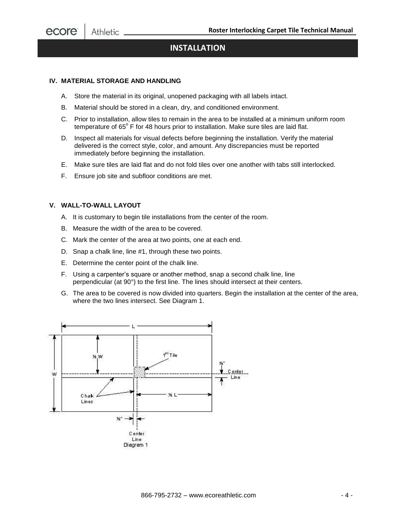#### **INSTALLATION**

#### **IV. MATERIAL STORAGE AND HANDLING**

- A. Store the material in its original, unopened packaging with all labels intact.
- B. Material should be stored in a clean, dry, and conditioned environment.
- C. Prior to installation, allow tiles to remain in the area to be installed at a minimum uniform room temperature of 65 $^{\circ}$  F for 48 hours prior to installation. Make sure tiles are laid flat.
- D. Inspect all materials for visual defects before beginning the installation. Verify the material delivered is the correct style, color, and amount. Any discrepancies must be reported immediately before beginning the installation.
- E. Make sure tiles are laid flat and do not fold tiles over one another with tabs still interlocked.
- F. Ensure job site and subfloor conditions are met.

#### **V. WALL-TO-WALL LAYOUT**

- A. It is customary to begin tile installations from the center of the room.
- B. Measure the width of the area to be covered.
- C. Mark the center of the area at two points, one at each end.
- D. Snap a chalk line, line #1, through these two points.
- E. Determine the center point of the chalk line.
- F. Using a carpenter's square or another method, snap a second chalk line, line perpendicular (at 90°) to the first line. The lines should intersect at their centers.
- G. The area to be covered is now divided into quarters. Begin the installation at the center of the area, where the two lines intersect. See Diagram 1.

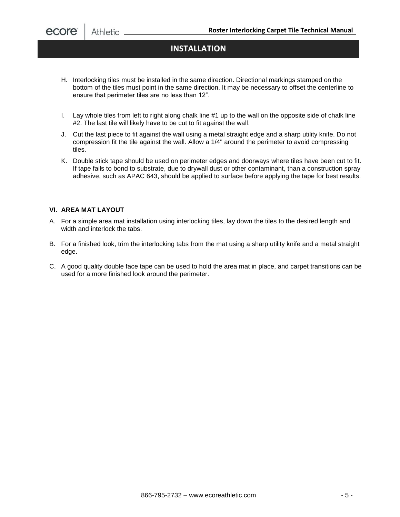### **INSTALLATION**

- H. Interlocking tiles must be installed in the same direction. Directional markings stamped on the bottom of the tiles must point in the same direction. It may be necessary to offset the centerline to ensure that perimeter tiles are no less than 12".
- I. Lay whole tiles from left to right along chalk line #1 up to the wall on the opposite side of chalk line #2. The last tile will likely have to be cut to fit against the wall.
- J. Cut the last piece to fit against the wall using a metal straight edge and a sharp utility knife. Do not compression fit the tile against the wall. Allow a 1/4" around the perimeter to avoid compressing tiles.
- K. Double stick tape should be used on perimeter edges and doorways where tiles have been cut to fit. If tape fails to bond to substrate, due to drywall dust or other contaminant, than a construction spray adhesive, such as APAC 643, should be applied to surface before applying the tape for best results.

#### **VI. AREA MAT LAYOUT**

ecore

Athletic

- A. For a simple area mat installation using interlocking tiles, lay down the tiles to the desired length and width and interlock the tabs.
- B. For a finished look, trim the interlocking tabs from the mat using a sharp utility knife and a metal straight edge.
- C. A good quality double face tape can be used to hold the area mat in place, and carpet transitions can be used for a more finished look around the perimeter.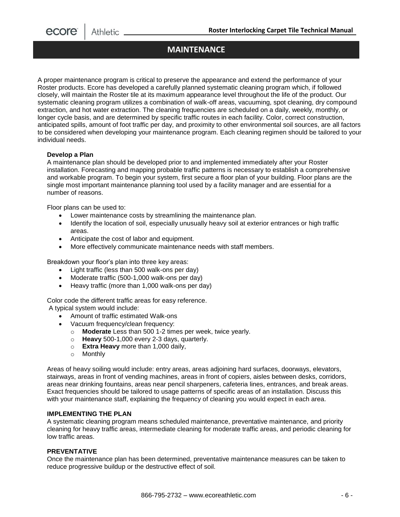A proper maintenance program is critical to preserve the appearance and extend the performance of your Roster products. Ecore has developed a carefully planned systematic cleaning program which, if followed closely, will maintain the Roster tile at its maximum appearance level throughout the life of the product. Our systematic cleaning program utilizes a combination of walk-off areas, vacuuming, spot cleaning, dry compound extraction, and hot water extraction. The cleaning frequencies are scheduled on a daily, weekly, monthly, or longer cycle basis, and are determined by specific traffic routes in each facility. Color, correct construction, anticipated spills, amount of foot traffic per day, and proximity to other environmental soil sources, are all factors to be considered when developing your maintenance program. Each cleaning regimen should be tailored to your individual needs.

#### **Develop a Plan**

A maintenance plan should be developed prior to and implemented immediately after your Roster installation. Forecasting and mapping probable traffic patterns is necessary to establish a comprehensive and workable program. To begin your system, first secure a floor plan of your building. Floor plans are the single most important maintenance planning tool used by a facility manager and are essential for a number of reasons.

Floor plans can be used to:

- Lower maintenance costs by streamlining the maintenance plan.
- Identify the location of soil, especially unusually heavy soil at exterior entrances or high traffic areas.
- Anticipate the cost of labor and equipment.
- More effectively communicate maintenance needs with staff members.

Breakdown your floor's plan into three key areas:

- Light traffic (less than 500 walk-ons per day)
- Moderate traffic (500-1,000 walk-ons per day)
- $\bullet$  Heavy traffic (more than 1,000 walk-ons per day)

Color code the different traffic areas for easy reference.

A typical system would include:

- Amount of traffic estimated Walk-ons
- Vacuum frequency/clean frequency:
	- o **Moderate** Less than 500 1-2 times per week, twice yearly.
	- o **Heavy** 500-1,000 every 2-3 days, quarterly.
	- o **Extra Heavy** more than 1,000 daily,
	- o Monthly

Areas of heavy soiling would include: entry areas, areas adjoining hard surfaces, doorways, elevators, stairways, areas in front of vending machines, areas in front of copiers, aisles between desks, corridors, areas near drinking fountains, areas near pencil sharpeners, cafeteria lines, entrances, and break areas. Exact frequencies should be tailored to usage patterns of specific areas of an installation. Discuss this with your maintenance staff, explaining the frequency of cleaning you would expect in each area.

#### **IMPLEMENTING THE PLAN**

A systematic cleaning program means scheduled maintenance, preventative maintenance, and priority cleaning for heavy traffic areas, intermediate cleaning for moderate traffic areas, and periodic cleaning for low traffic areas.

#### **PREVENTATIVE**

Once the maintenance plan has been determined, preventative maintenance measures can be taken to reduce progressive buildup or the destructive effect of soil.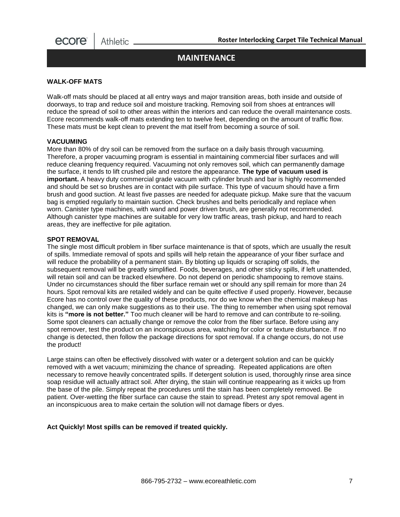

#### **WALK-OFF MATS**

Walk-off mats should be placed at all entry ways and major transition areas, both inside and outside of doorways, to trap and reduce soil and moisture tracking. Removing soil from shoes at entrances will reduce the spread of soil to other areas within the interiors and can reduce the overall maintenance costs. Ecore recommends walk-off mats extending ten to twelve feet, depending on the amount of traffic flow. These mats must be kept clean to prevent the mat itself from becoming a source of soil.

#### **VACUUMING**

More than 80% of dry soil can be removed from the surface on a daily basis through vacuuming. Therefore, a proper vacuuming program is essential in maintaining commercial fiber surfaces and will reduce cleaning frequency required. Vacuuming not only removes soil, which can permanently damage the surface, it tends to lift crushed pile and restore the appearance. **The type of vacuum used is important.** A heavy duty commercial grade vacuum with cylinder brush and bar is highly recommended and should be set so brushes are in contact with pile surface. This type of vacuum should have a firm brush and good suction. At least five passes are needed for adequate pickup. Make sure that the vacuum bag is emptied regularly to maintain suction. Check brushes and belts periodically and replace when worn. Canister type machines, with wand and power driven brush, are generally not recommended. Although canister type machines are suitable for very low traffic areas, trash pickup, and hard to reach areas, they are ineffective for pile agitation.

#### **SPOT REMOVAL**

The single most difficult problem in fiber surface maintenance is that of spots, which are usually the result of spills. Immediate removal of spots and spills will help retain the appearance of your fiber surface and will reduce the probability of a permanent stain. By blotting up liquids or scraping off solids, the subsequent removal will be greatly simplified. Foods, beverages, and other sticky spills, if left unattended, will retain soil and can be tracked elsewhere. Do not depend on periodic shampooing to remove stains. Under no circumstances should the fiber surface remain wet or should any spill remain for more than 24 hours. Spot removal kits are retailed widely and can be quite effective if used properly. However, because Ecore has no control over the quality of these products, nor do we know when the chemical makeup has changed, we can only make suggestions as to their use. The thing to remember when using spot removal kits is **"more is not better."** Too much cleaner will be hard to remove and can contribute to re-soiling. Some spot cleaners can actually change or remove the color from the fiber surface. Before using any spot remover, test the product on an inconspicuous area, watching for color or texture disturbance. If no change is detected, then follow the package directions for spot removal. If a change occurs, do not use the product!

Large stains can often be effectively dissolved with water or a detergent solution and can be quickly removed with a wet vacuum; minimizing the chance of spreading. Repeated applications are often necessary to remove heavily concentrated spills. If detergent solution is used, thoroughly rinse area since soap residue will actually attract soil. After drying, the stain will continue reappearing as it wicks up from the base of the pile. Simply repeat the procedures until the stain has been completely removed. Be patient. Over-wetting the fiber surface can cause the stain to spread. Pretest any spot removal agent in an inconspicuous area to make certain the solution will not damage fibers or dyes.

#### **Act Quickly! Most spills can be removed if treated quickly.**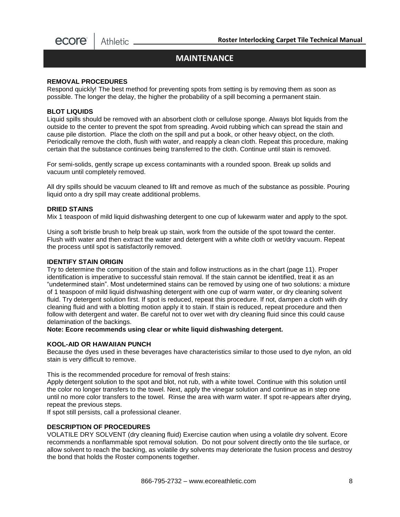#### **REMOVAL PROCEDURES**

Respond quickly! The best method for preventing spots from setting is by removing them as soon as possible. The longer the delay, the higher the probability of a spill becoming a permanent stain.

#### **BLOT LIQUIDS**

Liquid spills should be removed with an absorbent cloth or cellulose sponge. Always blot liquids from the outside to the center to prevent the spot from spreading. Avoid rubbing which can spread the stain and cause pile distortion. Place the cloth on the spill and put a book, or other heavy object, on the cloth. Periodically remove the cloth, flush with water, and reapply a clean cloth. Repeat this procedure, making certain that the substance continues being transferred to the cloth. Continue until stain is removed.

For semi-solids, gently scrape up excess contaminants with a rounded spoon. Break up solids and vacuum until completely removed.

All dry spills should be vacuum cleaned to lift and remove as much of the substance as possible. Pouring liquid onto a dry spill may create additional problems.

#### **DRIED STAINS**

Mix 1 teaspoon of mild liquid dishwashing detergent to one cup of lukewarm water and apply to the spot.

Using a soft bristle brush to help break up stain, work from the outside of the spot toward the center. Flush with water and then extract the water and detergent with a white cloth or wet/dry vacuum. Repeat the process until spot is satisfactorily removed.

#### **IDENTIFY STAIN ORIGIN**

Try to determine the composition of the stain and follow instructions as in the chart (page 11). Proper identification is imperative to successful stain removal. If the stain cannot be identified, treat it as an "undetermined stain". Most undetermined stains can be removed by using one of two solutions: a mixture of 1 teaspoon of mild liquid dishwashing detergent with one cup of warm water, or dry cleaning solvent fluid. Try detergent solution first. If spot is reduced, repeat this procedure. If not, dampen a cloth with dry cleaning fluid and with a blotting motion apply it to stain. If stain is reduced, repeat procedure and then follow with detergent and water. Be careful not to over wet with dry cleaning fluid since this could cause delamination of the backings.

**Note: Ecore recommends using clear or white liquid dishwashing detergent.**

#### **KOOL-AID OR HAWAIIAN PUNCH**

Because the dyes used in these beverages have characteristics similar to those used to dye nylon, an old stain is very difficult to remove.

This is the recommended procedure for removal of fresh stains:

Apply detergent solution to the spot and blot, not rub, with a white towel. Continue with this solution until the color no longer transfers to the towel. Next, apply the vinegar solution and continue as in step one until no more color transfers to the towel. Rinse the area with warm water. If spot re-appears after drying, repeat the previous steps.

If spot still persists, call a professional cleaner.

#### **DESCRIPTION OF PROCEDURES**

VOLATILE DRY SOLVENT (dry cleaning fluid) Exercise caution when using a volatile dry solvent. Ecore recommends a nonflammable spot removal solution. Do not pour solvent directly onto the tile surface, or allow solvent to reach the backing, as volatile dry solvents may deteriorate the fusion process and destroy the bond that holds the Roster components together.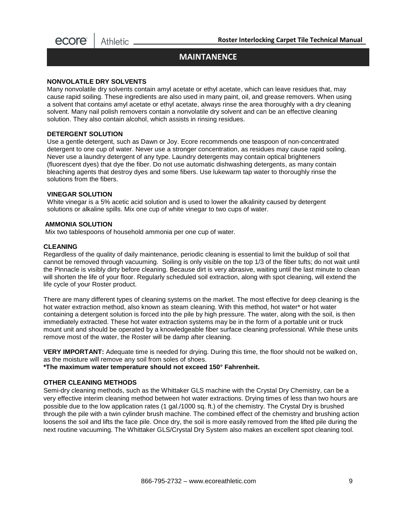#### **MAINTANENCE**

#### **NONVOLATILE DRY SOLVENTS**

Many nonvolatile dry solvents contain amyl acetate or ethyl acetate, which can leave residues that, may cause rapid soiling. These ingredients are also used in many paint, oil, and grease removers. When using a solvent that contains amyl acetate or ethyl acetate, always rinse the area thoroughly with a dry cleaning solvent. Many nail polish removers contain a nonvolatile dry solvent and can be an effective cleaning solution. They also contain alcohol, which assists in rinsing residues.

#### **DETERGENT SOLUTION**

Use a gentle detergent, such as Dawn or Joy. Ecore recommends one teaspoon of non-concentrated detergent to one cup of water. Never use a stronger concentration, as residues may cause rapid soiling. Never use a laundry detergent of any type. Laundry detergents may contain optical brighteners (fluorescent dyes) that dye the fiber. Do not use automatic dishwashing detergents, as many contain bleaching agents that destroy dyes and some fibers. Use lukewarm tap water to thoroughly rinse the solutions from the fibers.

#### **VINEGAR SOLUTION**

White vinegar is a 5% acetic acid solution and is used to lower the alkalinity caused by detergent solutions or alkaline spills. Mix one cup of white vinegar to two cups of water.

#### **AMMONIA SOLUTION**

Mix two tablespoons of household ammonia per one cup of water.

#### **CLEANING**

Regardless of the quality of daily maintenance, periodic cleaning is essential to limit the buildup of soil that cannot be removed through vacuuming. Soiling is only visible on the top 1/3 of the fiber tufts; do not wait until the Pinnacle is visibly dirty before cleaning. Because dirt is very abrasive, waiting until the last minute to clean will shorten the life of your floor. Regularly scheduled soil extraction, along with spot cleaning, will extend the life cycle of your Roster product.

There are many different types of cleaning systems on the market. The most effective for deep cleaning is the hot water extraction method, also known as steam cleaning. With this method, hot water\* or hot water containing a detergent solution is forced into the pile by high pressure. The water, along with the soil, is then immediately extracted. These hot water extraction systems may be in the form of a portable unit or truck mount unit and should be operated by a knowledgeable fiber surface cleaning professional. While these units remove most of the water, the Roster will be damp after cleaning.

**VERY IMPORTANT:** Adequate time is needed for drying. During this time, the floor should not be walked on, as the moisture will remove any soil from soles of shoes.

**\*The maximum water temperature should not exceed 150° Fahrenheit.**

#### **OTHER CLEANING METHODS**

Semi-dry cleaning methods, such as the Whittaker GLS machine with the Crystal Dry Chemistry, can be a very effective interim cleaning method between hot water extractions. Drying times of less than two hours are possible due to the low application rates (1 gal./1000 sq. ft.) of the chemistry. The Crystal Dry is brushed through the pile with a twin cylinder brush machine. The combined effect of the chemistry and brushing action loosens the soil and lifts the face pile. Once dry, the soil is more easily removed from the lifted pile during the next routine vacuuming. The Whittaker GLS/Crystal Dry System also makes an excellent spot cleaning tool.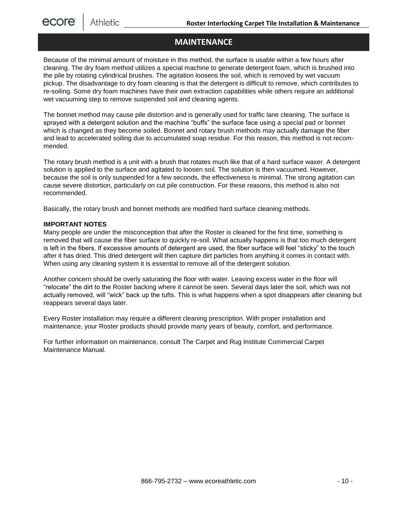**Manual**

Because of the minimal amount of moisture in this method, the surface is usable within a few hours after cleaning. The dry foam method utilizes a special machine to generate detergent foam, which is brushed into the pile by rotating cylindrical brushes. The agitation loosens the soil, which is removed by wet vacuum pickup. The disadvantage to dry foam cleaning is that the detergent is difficult to remove, which contributes to re-soiling. Some dry foam machines have their own extraction capabilities while others require an additional wet vacuuming step to remove suspended soil and cleaning agents.

The bonnet method may cause pile distortion and is generally used for traffic lane cleaning. The surface is sprayed with a detergent solution and the machine "buffs" the surface face using a special pad or bonnet which is changed as they become soiled. Bonnet and rotary brush methods may actually damage the fiber and lead to accelerated soiling due to accumulated soap residue. For this reason, this method is not recommended.

The rotary brush method is a unit with a brush that rotates much like that of a hard surface waxer. A detergent solution is applied to the surface and agitated to loosen soil. The solution is then vacuumed. However, because the soil is only suspended for a few seconds, the effectiveness is minimal. The strong agitation can cause severe distortion, particularly on cut pile construction. For these reasons, this method is also not recommended.

Basically, the rotary brush and bonnet methods are modified hard surface cleaning methods.

#### **IMPORTANT NOTES**

Many people are under the misconception that after the Roster is cleaned for the first time, something is removed that will cause the fiber surface to quickly re-soil. What actually happens is that too much detergent is left in the fibers. If excessive amounts of detergent are used, the fiber surface will feel "sticky" to the touch after it has dried. This dried detergent will then capture dirt particles from anything it comes in contact with. When using any cleaning system it is essential to remove all of the detergent solution.

Another concern should be overly saturating the floor with water. Leaving excess water in the floor will "relocate" the dirt to the Roster backing where it cannot be seen. Several days later the soil, which was not actually removed, will "wick" back up the tufts. This is what happens when a spot disappears after cleaning but reappears several days later.

Every Roster installation may require a different cleaning prescription. With proper installation and maintenance, your Roster products should provide many years of beauty, comfort, and performance.

For further information on maintenance, consult The Carpet and Rug Institute Commercial Carpet Maintenance Manual.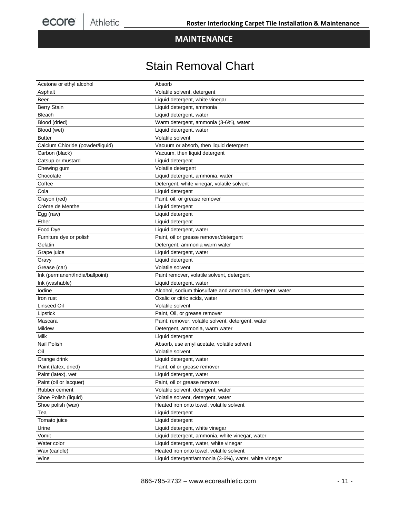## Stain Removal Chart

| Acetone or ethyl alcohol         | Absorb                                                    |
|----------------------------------|-----------------------------------------------------------|
| Asphalt                          | Volatile solvent, detergent                               |
| Beer                             | Liquid detergent, white vinegar                           |
| <b>Berry Stain</b>               | Liquid detergent, ammonia                                 |
| <b>Bleach</b>                    | Liquid detergent, water                                   |
| Blood (dried)                    | Warm detergent, ammonia (3-6%), water                     |
| Blood (wet)                      | Liquid detergent, water                                   |
| <b>Butter</b>                    | Volatile solvent                                          |
| Calcium Chloride (powder/liquid) | Vacuum or absorb, then liquid detergent                   |
| Carbon (black)                   | Vacuum, then liquid detergent                             |
| Catsup or mustard                | Liquid detergent                                          |
| Chewing gum                      | Volatile detergent                                        |
| Chocolate                        | Liquid detergent, ammonia, water                          |
| Coffee                           | Detergent, white vinegar, volatile solvent                |
| Cola                             | Liquid detergent                                          |
| Crayon (red)                     | Paint, oil, or grease remover                             |
| Crème de Menthe                  | Liquid detergent                                          |
| Egg (raw)                        | Liquid detergent                                          |
| Ether                            | Liquid detergent                                          |
| Food Dye                         | Liquid detergent, water                                   |
| Furniture dye or polish          | Paint, oil or grease remover/detergent                    |
| Gelatin                          | Detergent, ammonia warm water                             |
| Grape juice                      | Liquid detergent, water                                   |
| Gravy                            | Liquid detergent                                          |
| Grease (car)                     | Volatile solvent                                          |
| Ink (permanent/India/ballpoint)  | Paint remover, volatile solvent, detergent                |
| Ink (washable)                   | Liquid detergent, water                                   |
| Iodine                           | Alcohol, sodium thiosulfate and ammonia, detergent, water |
| Iron rust                        | Oxalic or citric acids, water                             |
| Linseed Oil                      | Volatile solvent                                          |
| Lipstick                         | Paint, Oil, or grease remover                             |
| Mascara                          | Paint, remover, volatile solvent, detergent, water        |
| Mildew                           | Detergent, ammonia, warm water                            |
| <b>Milk</b>                      | Liquid detergent                                          |
| Nail Polish                      | Absorb, use amyl acetate, volatile solvent                |
| Oil                              | Volatile solvent                                          |
| Orange drink                     | Liquid detergent, water                                   |
| Paint (latex, dried)             | Paint, oil or grease remover                              |
| Paint (latex), wet               | Liquid detergent, water                                   |
| Paint (oil or lacquer)           | Paint, oil or grease remover                              |
| Rubber cement                    | Volatile solvent, detergent, water                        |
| Shoe Polish (liquid)             | Volatile solvent, detergent, water                        |
| Shoe polish (wax)                | Heated iron onto towel, volatile solvent                  |
| Tea                              | Liquid detergent                                          |
| Tomato juice                     | Liquid detergent                                          |
| Urine                            | Liquid detergent, white vinegar                           |
| Vomit                            | Liquid detergent, ammonia, white vinegar, water           |
| Water color                      | Liquid detergent, water, white vinegar                    |
| Wax (candle)                     | Heated iron onto towel, volatile solvent                  |
| Wine                             | Liquid detergent/ammonia (3-6%), water, white vinegar     |
|                                  |                                                           |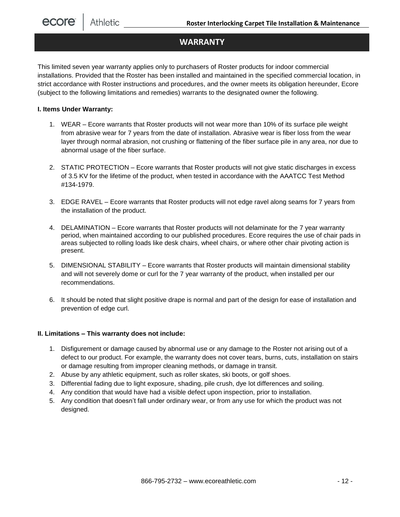#### **Manual WARRANTY**

This limited seven year warranty applies only to purchasers of Roster products for indoor commercial installations. Provided that the Roster has been installed and maintained in the specified commercial location, in strict accordance with Roster instructions and procedures, and the owner meets its obligation hereunder, Ecore (subject to the following limitations and remedies) warrants to the designated owner the following.

#### **I. Items Under Warranty:**

- 1. WEAR Ecore warrants that Roster products will not wear more than 10% of its surface pile weight from abrasive wear for 7 years from the date of installation. Abrasive wear is fiber loss from the wear layer through normal abrasion, not crushing or flattening of the fiber surface pile in any area, nor due to abnormal usage of the fiber surface.
- 2. STATIC PROTECTION Ecore warrants that Roster products will not give static discharges in excess of 3.5 KV for the lifetime of the product, when tested in accordance with the AAATCC Test Method #134-1979.
- 3. EDGE RAVEL Ecore warrants that Roster products will not edge ravel along seams for 7 years from the installation of the product.
- 4. DELAMINATION Ecore warrants that Roster products will not delaminate for the 7 year warranty period, when maintained according to our published procedures. Ecore requires the use of chair pads in areas subjected to rolling loads like desk chairs, wheel chairs, or where other chair pivoting action is present.
- 5. DIMENSIONAL STABILITY Ecore warrants that Roster products will maintain dimensional stability and will not severely dome or curl for the 7 year warranty of the product, when installed per our recommendations.
- 6. It should be noted that slight positive drape is normal and part of the design for ease of installation and prevention of edge curl.

#### **II. Limitations – This warranty does not include:**

- 1. Disfigurement or damage caused by abnormal use or any damage to the Roster not arising out of a defect to our product. For example, the warranty does not cover tears, burns, cuts, installation on stairs or damage resulting from improper cleaning methods, or damage in transit.
- 2. Abuse by any athletic equipment, such as roller skates, ski boots, or golf shoes.
- 3. Differential fading due to light exposure, shading, pile crush, dye lot differences and soiling.
- 4. Any condition that would have had a visible defect upon inspection, prior to installation.
- 5. Any condition that doesn't fall under ordinary wear, or from any use for which the product was not designed.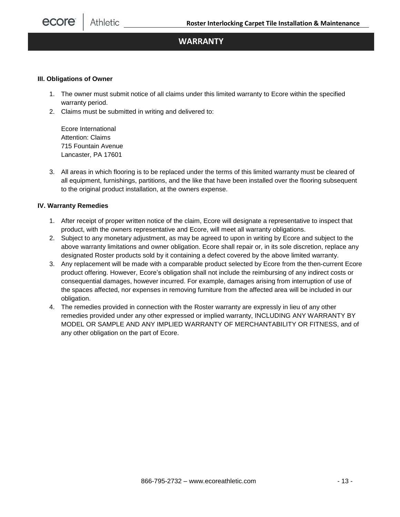#### **Manual WARRANTY**

#### **III. Obligations of Owner**

- 1. The owner must submit notice of all claims under this limited warranty to Ecore within the specified warranty period.
- 2. Claims must be submitted in writing and delivered to:

Ecore International Attention: Claims 715 Fountain Avenue Lancaster, PA 17601

3. All areas in which flooring is to be replaced under the terms of this limited warranty must be cleared of all equipment, furnishings, partitions, and the like that have been installed over the flooring subsequent to the original product installation, at the owners expense.

#### **IV. Warranty Remedies**

- 1. After receipt of proper written notice of the claim, Ecore will designate a representative to inspect that product, with the owners representative and Ecore, will meet all warranty obligations.
- 2. Subject to any monetary adjustment, as may be agreed to upon in writing by Ecore and subject to the above warranty limitations and owner obligation. Ecore shall repair or, in its sole discretion, replace any designated Roster products sold by it containing a defect covered by the above limited warranty.
- 3. Any replacement will be made with a comparable product selected by Ecore from the then-current Ecore product offering. However, Ecore's obligation shall not include the reimbursing of any indirect costs or consequential damages, however incurred. For example, damages arising from interruption of use of the spaces affected, nor expenses in removing furniture from the affected area will be included in our obligation.
- 4. The remedies provided in connection with the Roster warranty are expressly in lieu of any other remedies provided under any other expressed or implied warranty, INCLUDING ANY WARRANTY BY MODEL OR SAMPLE AND ANY IMPLIED WARRANTY OF MERCHANTABILITY OR FITNESS, and of any other obligation on the part of Ecore.